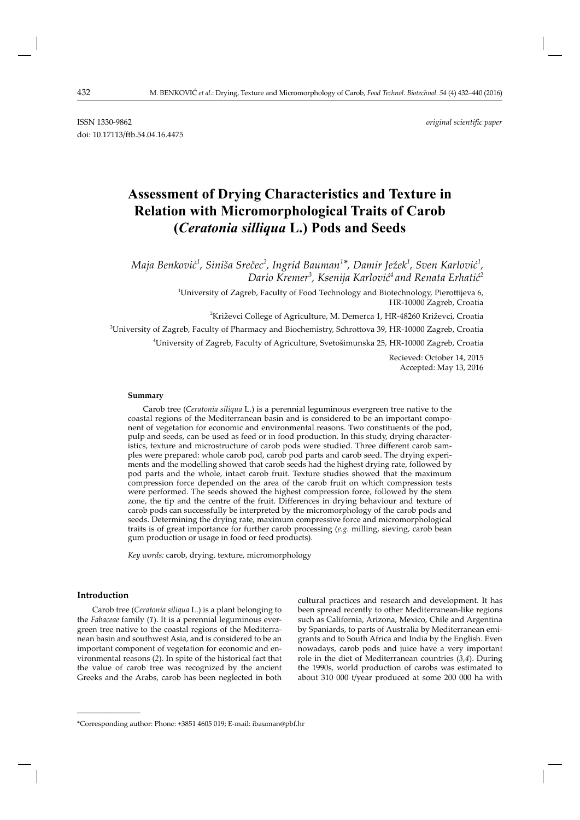# **Assessment of Drying Characteristics and Texture in Relation with Micromorphological Traits of Carob (***Ceratonia silliqua* **L.) Pods and Seeds**

*Maja Benković 1 , Siniša Srečec<sup>2</sup> , Ingrid Bauman<sup>1</sup> \*, Damir Ježek1 , Sven Karlović 1 , Dario Kremer<sup>3</sup> , Ksenij a Karlović 4 and Renata Erhatić 2*

> $^{\rm 1}$ University of Zagreb, Faculty of Food Technology and Biotechnology, Pierottijeva 6, HR-10000 Zagreb, Croatia

<sup>2</sup>Križevci College of Agriculture, M. Demerca 1, HR-48260 Križevci, Croatia

 ${\rm ^3}$ University of Zagreb, Faculty of Pharmacy and Biochemistry, Schrottova 39, HR-10000 Zagreb, Croatia

4 University of Zagreb, Faculty of Agriculture, Svetošimunska 25, HR-10000 Zagreb, Croatia

Recieved: October 14, 2015 Accepted: May 13, 2016

### **Summary**

Carob tree (*Ceratonia siliqua* L.) is a perennial leguminous evergreen tree native to the coastal regions of the Mediterranean basin and is considered to be an important component of vegetation for economic and environmental reasons. Two constituents of the pod, pulp and seeds, can be used as feed or in food production. In this study, drying characteristics, texture and microstructure of carob pods were studied. Three different carob samples were prepared: whole carob pod, carob pod parts and carob seed. The drying experiments and the modelling showed that carob seeds had the highest drying rate, followed by pod parts and the whole, intact carob fruit. Texture studies showed that the maximum compression force depended on the area of the carob fruit on which compression tests were performed. The seeds showed the highest compression force, followed by the stem zone, the tip and the centre of the fruit. Differences in drying behaviour and texture of carob pods can successfully be interpreted by the micromorphology of the carob pods and seeds. Determining the drying rate, maximum compressive force and micromorphological traits is of great importance for further carob processing (*e.g.* milling, sieving, carob bean gum production or usage in food or feed products).

*Key words:* carob, drying, texture, micromorphology

# **Introduction**

**\_\_\_\_\_\_\_\_\_\_\_\_\_\_\_\_\_\_\_\_\_\_\_\_\_\_\_\_\_\_**

Carob tree (*Ceratonia siliqua* L.) is a plant belonging to the *Fabaceae* family (*1*). It is a perennial leguminous evergreen tree native to the coastal regions of the Mediterranean basin and southwest Asia, and is considered to be an important component of vegetation for economic and environmental reasons (*2*). In spite of the historical fact that the value of carob tree was recognized by the ancient Greeks and the Arabs, carob has been neglected in both cultural practices and research and development. It has been spread recently to other Mediterranean-like regions such as California, Arizona, Mexico, Chile and Argentina by Spaniards, to parts of Australia by Mediterranean emigrants and to South Africa and India by the English. Even nowadays, carob pods and juice have a very important role in the diet of Mediterranean countries (*3,4*). During the 1990s, world production of carobs was estimated to about 310 000 t/year produced at some 200 000 ha with

<sup>\*</sup>Corresponding author: Phone: +3851 4605 019; E-mail: ibauman@pbf.hr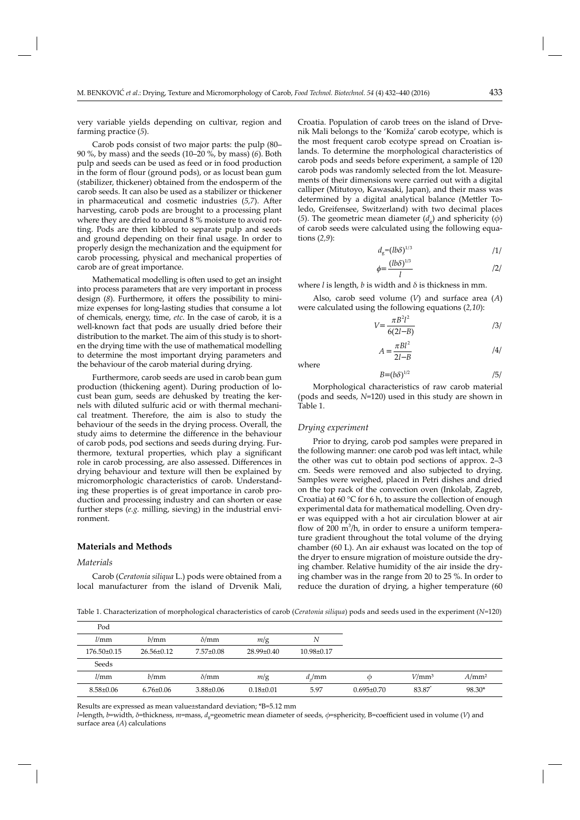very variable yields depending on cultivar, region and farming practice (*5*).

Carob pods consist of two major parts: the pulp (80– 90 %, by mass) and the seeds (10–20 %, by mass) (*6*). Both pulp and seeds can be used as feed or in food production in the form of flour (ground pods), or as locust bean gum (stabilizer, thickener) obtained from the endosperm of the carob seeds. It can also be used as a stabilizer or thickener in pharmaceutical and cosmetic industries (5,7). After harvesting, carob pods are brought to a processing plant where they are dried to around 8 % moisture to avoid rotting. Pods are then kibbled to separate pulp and seeds and ground depending on their final usage. In order to properly design the mechanization and the equipment for carob processing, physical and mechanical properties of carob are of great importance.

Mathematical modelling is often used to get an insight into process parameters that are very important in process design (8). Furthermore, it offers the possibility to minimize expenses for long-lasting studies that consume a lot of chemicals, energy, time, *etc*. In the case of carob, it is a well-known fact that pods are usually dried before their distribution to the market. The aim of this study is to shorten the drying time with the use of mathematical modelling to determine the most important drying parameters and the behaviour of the carob material during drying.

Furthermore, carob seeds are used in carob bean gum production (thickening agent). During production of locust bean gum, seeds are dehusked by treating the kernels with diluted sulfuric acid or with thermal mechanical treatment. Therefore, the aim is also to study the behaviour of the seeds in the drying process. Overall, the study aims to determine the difference in the behaviour of carob pods, pod sections and seeds during drying. Furthermore, textural properties, which play a significant role in carob processing, are also assessed. Differences in drying behaviour and texture will then be explained by micromorphologic characteristics of carob. Understanding these properties is of great importance in carob production and processing industry and can shorten or ease further steps (*e.g.* milling, sieving) in the industrial environment.

# **Materials and Methods**

## *Materials*

Carob (*Ceratonia siliqua* L.) pods were obtained from a local manufacturer from the island of Drvenik Mali, Croatia. Population of carob trees on the island of Drvenik Mali belongs to the 'Komiža' carob ecotype, which is the most frequent carob ecotype spread on Croatian islands. To determine the morphological characteristics of carob pods and seeds before experiment, a sample of 120 carob pods was randomly selected from the lot. Measurements of their dimensions were carried out with a digital calliper (Mitutoyo, Kawasaki, Japan), and their mass was determined by a digital analytical balance (Mettler Toledo, Greifensee, Switzerland) with two decimal places (5). The geometric mean diameter  $(d<sub>a</sub>)$  and sphericity  $(\phi)$ of carob seeds were calculated using the following equations (*2,9*):

$$
d_{\rm g} = (lb\delta)^{1/3} \tag{1}
$$

$$
\phi = \frac{(lb\delta)^{1/3}}{l} \tag{2}
$$

where *l* is length, *b* is width and *δ* is thickness in mm.

Also, carob seed volume (*V*) and surface area (*A*) were calculated using the following equations (*2,10*):

$$
V = \frac{\pi B^2 l^2}{6(2l - B)}
$$
 (3)

$$
A = \frac{\pi B l^2}{2l - B} \tag{4}
$$

where

$$
B=(b\delta)^{1/2} \tag{5}
$$

Morphological characteristics of raw carob material (pods and seeds, *N*=120) used in this study are shown in Table 1.

## *Drying experiment*

Prior to drying, carob pod samples were prepared in the following manner: one carob pod was left intact, while the other was cut to obtain pod sections of approx. 2–3 cm. Seeds were removed and also subjected to drying. Samples were weighed, placed in Petri dishes and dried on the top rack of the convection oven (Inkolab, Zagreb, Croatia) at 60  $\degree$ C for 6 h, to assure the collection of enough experimental data for mathematical modelling. Oven dryer was equipped with a hot air circulation blower at air flow of 200  $m^3/h$ , in order to ensure a uniform temperature gradient throughout the total volume of the drying chamber (60 L). An air exhaust was located on the top of the dryer to ensure migration of moisture outside the drying chamber. Relative humidity of the air inside the drying chamber was in the range from 20 to 25 %. In order to reduce the duration of drying, a higher temperature (60

Table 1. Characterization of morphological characteristics of carob (*Ceratonia siliqua*) pods and seeds used in the experiment (*N*=120)

| Pod             |                  |                 |                  |                  |                  |                   |                 |
|-----------------|------------------|-----------------|------------------|------------------|------------------|-------------------|-----------------|
| l/mm            | b/mm             | $\delta$ /mm    | m/g              | Ν                |                  |                   |                 |
| $176.50\pm0.15$ | $26.56 \pm 0.12$ | $7.57 \pm 0.08$ | $28.99 \pm 0.40$ | $10.98 \pm 0.17$ |                  |                   |                 |
| Seeds           |                  |                 |                  |                  |                  |                   |                 |
| l/mm            | b/mm             | $\delta$ /mm    | m/g              | $d_{\gamma}$ mm  | Φ                | V/mm <sup>3</sup> | $A/\text{mm}^2$ |
| $8.58 \pm 0.06$ | $6.76 \pm 0.06$  | $3.88 \pm 0.06$ | $0.18{\pm}0.01$  | 5.97             | $0.695 \pm 0.70$ | 83.87             | 98.30*          |

Results are expressed as mean value±standard deviation; \*B=5.12 mm

*l*=length, *b*=width, *δ*=thickness, *m*=mass, *d*<sub>g</sub>=geometric mean diameter of seeds, *φ*=sphericity, B=coefficient used in volume (*V*) and surface area (*A*) calculations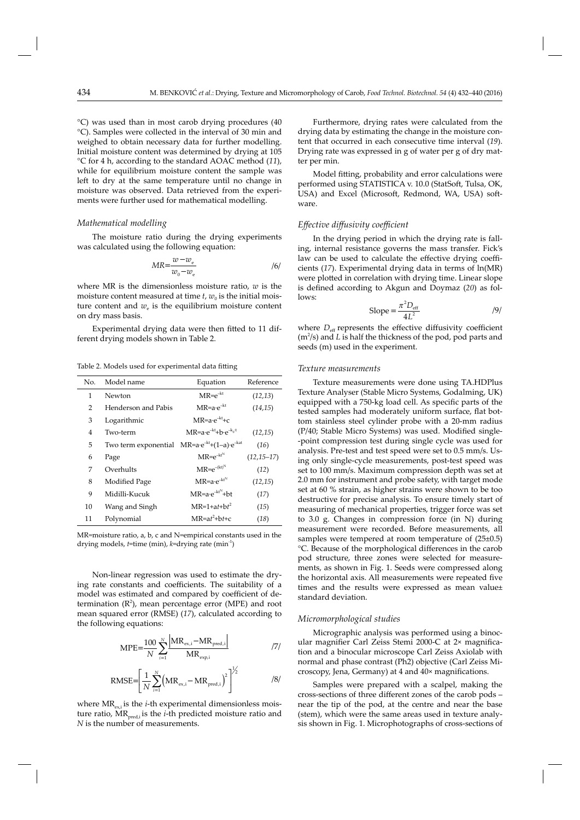°C) was used than in most carob drying procedures (40 °C). Samples were collected in the interval of 30 min and weighed to obtain necessary data for further modelling. Initial moisture content was determined by drying at 105 °C for 4 h, according to the standard AOAC method (*11*), while for equilibrium moisture content the sample was left to dry at the same temperature until no change in moisture was observed. Data retrieved from the experiments were further used for mathematical modelling.

# *Mathematical modelling*

The moisture ratio during the drying experiments was calculated using the following equation:

$$
MR = \frac{w - w_e}{w_0 - w_e} \tag{6}
$$

where MR is the dimensionless moisture ratio, *w* is the moisture content measured at time  $t$ ,  $w_0$  is the initial moisture content and  $w_e$  is the equilibrium moisture content on dry mass basis.

Experimental drying data were then fitted to 11 different drying models shown in Table 2.

Table 2. Models used for experimental data fitting

| No. | Model name                                                         | Equation                                          | Reference       |
|-----|--------------------------------------------------------------------|---------------------------------------------------|-----------------|
| 1   | Newton                                                             | $MR = e^{-kt}$                                    | (12, 13)        |
| 2   | Henderson and Pabis                                                | $MR = a \cdot e^{-kt}$                            | (14, 15)        |
| 3   | Logarithmic                                                        | $MR = a \cdot e^{-kt} + c$                        |                 |
| 4   | Two-term                                                           | $MR = a \cdot e^{-kt} + b \cdot e^{-k_0 \cdot t}$ | (12,15)         |
| 5   | Two term exponential $MR = a \cdot e^{-kt} + (1-a) \cdot e^{-kat}$ |                                                   | (16)            |
| 6   | Page                                                               | $MR = e^{-kt^N}$                                  | $(12, 15 - 17)$ |
| 7   | Overhults                                                          | $MR = e^{-(kt)^N}$                                | (12)            |
| 8   | Modified Page                                                      | $MR = a \cdot e^{-kt^N}$                          | (12,15)         |
| 9   | Midilli-Kucuk                                                      | $MR = a \cdot e^{-kt^N} + bt$                     | (17)            |
| 10  | Wang and Singh                                                     | $MR=1+at+bt^2$                                    | (15)            |
| 11  | Polynomial                                                         | $MR = at^2 + bt + c$                              | (18)            |

MR=moisture ratio, a, b, c and N=empirical constants used in the drying models, *t*=time (min), *k*=drying rate (min-1)

Non-linear regression was used to estimate the drying rate constants and coefficients. The suitability of a model was estimated and compared by coefficient of determination  $(R^2)$ , mean percentage error (MPE) and root mean squared error (RMSE) (*17*), calculated according to the following equations:

$$
MPE = \frac{100}{N} \sum_{i=1}^{N} \frac{|MR_{ex,i} - MR_{pred,i}|}{MR_{exp,i}}
$$
 (7)

$$
\text{RMSE} = \left[\frac{1}{N} \sum_{i=1}^{N} \left(\text{MR}_{\text{ex},i} - \text{MR}_{\text{pred},i}\right)^2\right]^{1/2} \tag{8}
$$

where  $MR_{\text{ex},i}$  is the *i*-th experimental dimensionless moisture ratio, MR<sub>pred,i</sub> is the *i*-th predicted moisture ratio and *N* is the number of measurements.

Furthermore, drying rates were calculated from the drying data by estimating the change in the moisture content that occurred in each consecutive time interval (*19*). Drying rate was expressed in g of water per g of dry matter per min.

Model fitting, probability and error calculations were performed using STATISTICA v. 10.0 (StatSoft, Tulsa, OK, USA) and Excel (Microsoft, Redmond, WA, USA) software.

## *Eff ective diff usivity coeffi cient*

In the drying period in which the drying rate is falling, internal resistance governs the mass transfer. Fick's law can be used to calculate the effective drying coefficients (*17*). Experimental drying data in terms of ln(MR) were plotted in correlation with drying time. Linear slope is defined according to Akgun and Doymaz (20) as follows:

$$
\text{Slope} = \frac{\pi^2 D_{\text{eff}}}{4L^2} \tag{9}
$$

where  $D_{\text{eff}}$  represents the effective diffusivity coefficient  $(m<sup>2</sup>/s)$  and *L* is half the thickness of the pod, pod parts and seeds (m) used in the experiment.

## *Texture measurements*

Texture measurements were done using TA.HDPlus Texture Analyser (Stable Micro Systems, Godalming, UK) equipped with a 750-kg load cell. As specific parts of the tested samples had moderately uniform surface, flat bottom stainless steel cylinder probe with a 20-mm radius  $(P/40; Stable Micro Systems) was used. Modified single-$ -point compression test during single cycle was used for analysis. Pre-test and test speed were set to 0.5 mm/s. Using only single-cycle measurements, post-test speed was set to 100 mm/s. Maximum compression depth was set at 2.0 mm for instrument and probe safety, with target mode set at 60 % strain, as higher strains were shown to be too destructive for precise analysis. To ensure timely start of measuring of mechanical properties, trigger force was set to 3.0 g. Changes in compression force (in N) during measurement were recorded. Before measurements, all samples were tempered at room temperature of  $(25\pm0.5)$ °C. Because of the morphological differences in the carob pod structure, three zones were selected for measurements, as shown in Fig. 1. Seeds were compressed along the horizontal axis. All measurements were repeated five times and the results were expressed as mean value± standard deviation.

# *Micromorphological studies*

Micrographic analysis was performed using a binocular magnifier Carl Zeiss Stemi 2000-C at 2× magnification and a binocular microscope Carl Zeiss Axiolab with normal and phase contrast (Ph2) objective (Carl Zeiss Microscopy, Jena, Germany) at 4 and 40× magnifications.

Samples were prepared with a scalpel, making the cross-sections of three different zones of the carob pods near the tip of the pod, at the centre and near the base (stem), which were the same areas used in texture analysis shown in Fig. 1. Microphotographs of cross-sections of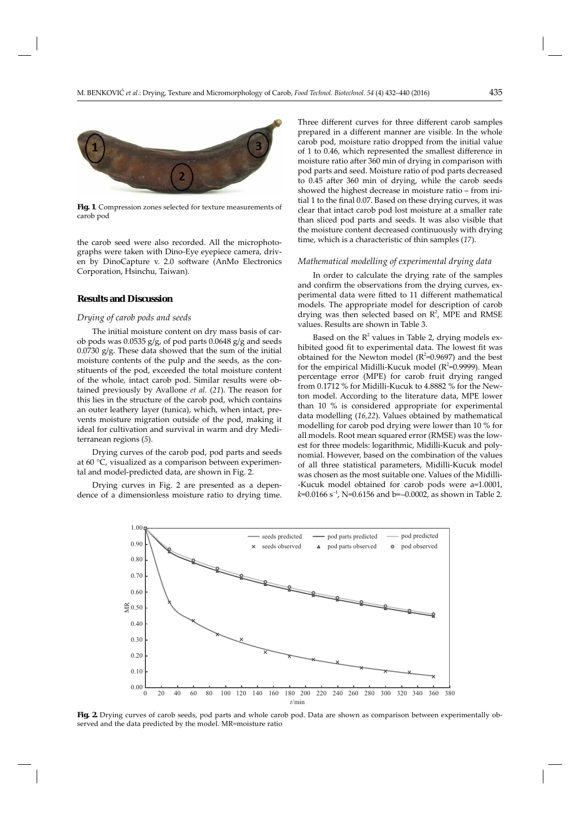

**Fig. 1**. Compression zones selected for texture measurements of carob pod

the carob seed were also recorded. All the microphotographs were taken with Dino-Eye eyepiece camera, driven by DinoCapture v. 2.0 software (AnMo Electronics Corporation, Hsinchu, Taiwan).

# **Results and Discussion**

#### *Drying of carob pods and seeds*

The initial moisture content on dry mass basis of carob pods was  $0.0535$  g/g, of pod parts  $0.0648$  g/g and seeds 0.0730 g/g. These data showed that the sum of the initial moisture contents of the pulp and the seeds, as the constituents of the pod, exceeded the total moisture content of the whole, intact carob pod. Similar results were obtained previously by Avallone *et al.* (*21*). The reason for this lies in the structure of the carob pod, which contains an outer leathery layer (tunica), which, when intact, prevents moisture migration outside of the pod, making it ideal for cultivation and survival in warm and dry Mediterranean regions (*5*).

Drying curves of the carob pod, pod parts and seeds at 60 °C, visualized as a comparison between experimental and model-predicted data, are shown in Fig. 2.

Drying curves in Fig. 2 are presented as a dependence of a dimensionless moisture ratio to drying time. Three different curves for three different carob samples prepared in a different manner are visible. In the whole carob pod, moisture ratio dropped from the initial value of 1 to 0.46, which represented the smallest difference in moisture ratio after 360 min of drying in comparison with pod parts and seed. Moisture ratio of pod parts decreased to 0.45 after 360 min of drying, while the carob seeds showed the highest decrease in moisture ratio – from initial 1 to the final 0.07. Based on these drying curves, it was clear that intact carob pod lost moisture at a smaller rate than sliced pod parts and seeds. It was also visible that the moisture content decreased continuously with drying time, which is a characteristic of thin samples (*17*).

## *Mathematical modelling of experimental drying data*

In order to calculate the drying rate of the samples and confirm the observations from the drying curves, experimental data were fitted to 11 different mathematical models. The appropriate model for description of carob drying was then selected based on  $\mathbb{R}^2$ , MPE and RMSE values. Results are shown in Table 3.

Based on the  $R^2$  values in Table 2, drying models exhibited good fit to experimental data. The lowest fit was obtained for the Newton model  $(R^2=0.9697)$  and the best for the empirical Midilli-Kucuk model ( $R^2$ =0.9999). Mean percentage error (MPE) for carob fruit drying ranged from 0.1712 % for Midilli-Kucuk to 4.8882 % for the Newton model. According to the literature data, MPE lower than 10 % is considered appropriate for experimental data modelling (*16,22*). Values obtained by mathematical modelling for carob pod drying were lower than 10 % for all models. Root mean squared error (RMSE) was the lowest for three models: logarithmic, Midilli-Kucuk and polynomial. However, based on the combination of the values of all three statistical parameters, Midilli-Kucuk model was chosen as the most suitable one. Values of the Midilli- -Kucuk model obtained for carob pods were a=1.0001,  $k=0.0166$  s<sup>-1</sup>, N=0.6156 and b=-0.0002, as shown in Table 2.



**Fig. 2.** Drying curves of carob seeds, pod parts and whole carob pod. Data are shown as comparison between experimentally observed and the data predicted by the model. MR=moisture ratio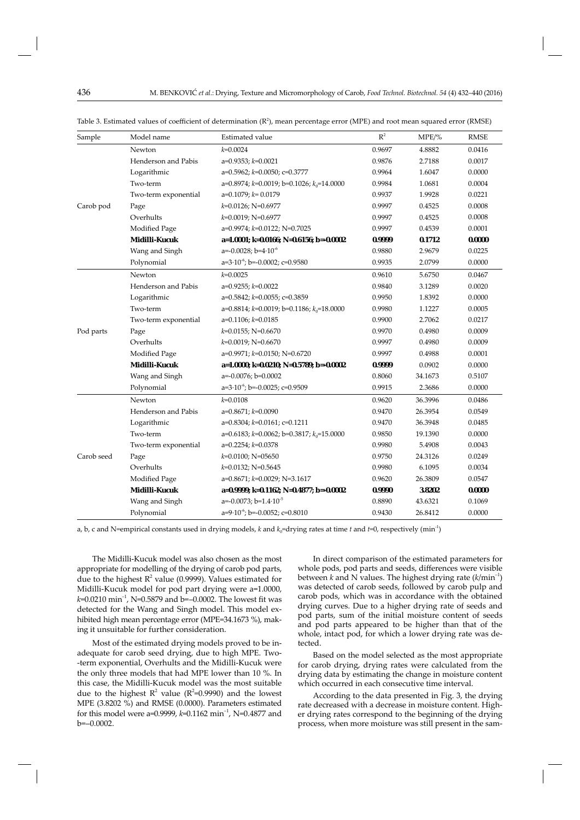| Sample     | Model name           | Estimated value                                 | $\mathbb{R}^2$ | MPE/%   | <b>RMSE</b> |
|------------|----------------------|-------------------------------------------------|----------------|---------|-------------|
|            | Newton               | $k = 0.0024$                                    | 0.9697         | 4.8882  | 0.0416      |
|            | Henderson and Pabis  | $a=0.9353; k=0.0021$                            | 0.9876         | 2.7188  | 0.0017      |
|            | Logarithmic          | $a=0.5962$ ; $k=0.0050$ ; $c=0.3777$            | 0.9964         | 1.6047  | 0.0000      |
|            | Two-term             | a=0.8974; $k=0.0019$ ; b=0.1026; $k_0$ =14.0000 | 0.9984         | 1.0681  | 0.0004      |
|            | Two-term exponential | $a=0.1079$ ; $k=0.0179$                         | 0.9937         | 1.9928  | 0.0221      |
| Carob pod  | Page                 | $k=0.0126$ ; N=0.6977                           | 0.9997         | 0.4525  | 0.0008      |
|            | Overhults            | $k=0.0019$ ; N=0.6977                           | 0.9997         | 0.4525  | 0.0008      |
|            | Modified Page        | $a=0.9974$ ; $k=0.0122$ ; N=0.7025              | 0.9997         | 0.4539  | 0.0001      |
|            | Midilli-Kucuk        | a=1.0001; $k=0.0166$ ; N=0.6156; b=-0.0002      | 0.9999         | 0.1712  | 0.0000      |
|            | Wang and Singh       | a=-0.0028; b=4 $\cdot$ 10 <sup>-6</sup>         | 0.9880         | 2.9679  | 0.0225      |
|            | Polynomial           | a=3.10 <sup>-6</sup> ; b=-0.0002; c=0.9580      | 0.9935         | 2.0799  | 0.0000      |
|            | Newton               | $k = 0.0025$                                    | 0.9610         | 5.6750  | 0.0467      |
|            | Henderson and Pabis  | a=0.9255; $k=0.0022$                            | 0.9840         | 3.1289  | 0.0020      |
|            | Logarithmic          | a=0.5842; $k=0.0055$ ; c=0.3859                 | 0.9950         | 1.8392  | 0.0000      |
|            | Two-term             | a=0.8814; $k=0.0019$ ; b=0.1186; $k_0$ =18.0000 | 0.9980         | 1.1227  | 0.0005      |
|            | Two-term exponential | a=0.1106; $k$ =0.0185                           | 0.9900         | 2.7062  | 0.0217      |
| Pod parts  | Page                 | $k=0.0155$ ; N=0.6670                           | 0.9970         | 0.4980  | 0.0009      |
|            | Overhults            | $k=0.0019$ ; N=0.6670                           | 0.9997         | 0.4980  | 0.0009      |
|            | Modified Page        | $a=0.9971$ ; $k=0.0150$ ; N=0.6720              | 0.9997         | 0.4988  | 0.0001      |
|            | Midilli-Kucuk        | a=1.0000; $k=0.0210$ ; N=0.5789; b=-0.0002      | 0.9999         | 0.0902  | 0.0000      |
|            | Wang and Singh       | $a=-0.0076$ ; $b=0.0002$                        | 0.8060         | 34.1673 | 0.5107      |
|            | Polynomial           | $a=3.10^{-6}$ ; b=-0.0025; c=0.9509             | 0.9915         | 2.3686  | 0.0000      |
|            | Newton               | $k = 0.0108$                                    | 0.9620         | 36.3996 | 0.0486      |
|            | Henderson and Pabis  | $a=0.8671; k=0.0090$                            | 0.9470         | 26.3954 | 0.0549      |
| Carob seed | Logarithmic          | $a=0.8304$ ; $k=0.0161$ ; $c=0.1211$            | 0.9470         | 36.3948 | 0.0485      |
|            | Two-term             | a=0.6183; $k=0.0062$ ; b=0.3817; $k_0$ =15.0000 | 0.9850         | 19.1390 | 0.0000      |
|            | Two-term exponential | $a=0.2254$ ; $k=0.0378$                         | 0.9980         | 5.4908  | 0.0043      |
|            | Page                 | $k=0.0100$ ; N=05650                            | 0.9750         | 24.3126 | 0.0249      |
|            | Overhults            | $k=0.0132$ ; N=0.5645                           | 0.9980         | 6.1095  | 0.0034      |
|            | Modified Page        | a= $0.8671$ ; k= $0.0029$ ; N= $3.1617$         | 0.9620         | 26.3809 | 0.0547      |
|            | Midilli-Kucuk        | a=0.9999; $k=0.1162$ ; N=0.4877; b=-0.0002      | 0.9990         | 3.8202  | 0.0000      |
|            | Wang and Singh       | a=-0.0073; b= $1.4 \cdot 10^{-5}$               | 0.8890         | 43.6321 | 0.1069      |
|            | Polynomial           | a=9.10 <sup>-6</sup> ; b=-0.0052; c=0.8010      | 0.9430         | 26.8412 | 0.0000      |
|            |                      |                                                 |                |         |             |

Table 3. Estimated values of coefficient of determination ( $\rm R^2$ ), mean percentage error (MPE) and root mean squared error (RMSE)

a, b, c and N=empirical constants used in drying models,  $k$  and  $k_0$ =drying rates at time  $t$  and  $t=0$ , respectively (min<sup>-1</sup>)

The Midilli-Kucuk model was also chosen as the most appropriate for modelling of the drying of carob pod parts, due to the highest  $R^2$  value (0.9999). Values estimated for Midilli-Kucuk model for pod part drying were a=1.0000, *k*=0.0210 min<sup>-1</sup>, N=0.5879 and b=-0.0002. The lowest fit was detected for the Wang and Singh model. This model exhibited high mean percentage error (MPE=34.1673 %), making it unsuitable for further consideration.

Most of the estimated drying models proved to be inadequate for carob seed drying, due to high MPE. Two- -term exponential, Overhults and the Midilli-Kucuk were the only three models that had MPE lower than 10 %. In this case, the Midilli-Kucuk model was the most suitable due to the highest  $R^2$  value ( $R^2$ =0.9990) and the lowest MPE (3.8202 %) and RMSE (0.0000). Parameters estimated for this model were a=0.9999, *k*=0.1162 min–1, N=0.4877 and b=–0.0002.

In direct comparison of the estimated parameters for whole pods, pod parts and seeds, differences were visible between *k* and N values. The highest drying rate  $(k/\text{min}^{-1})$ was detected of carob seeds, followed by carob pulp and carob pods, which was in accordance with the obtained drying curves. Due to a higher drying rate of seeds and pod parts, sum of the initial moisture content of seeds and pod parts appeared to be higher than that of the whole, intact pod, for which a lower drying rate was detected.

Based on the model selected as the most appropriate for carob drying, drying rates were calculated from the drying data by estimating the change in moisture content which occurred in each consecutive time interval.

According to the data presented in Fig. 3, the drying rate decreased with a decrease in moisture content. Higher drying rates correspond to the beginning of the drying process, when more moisture was still present in the sam-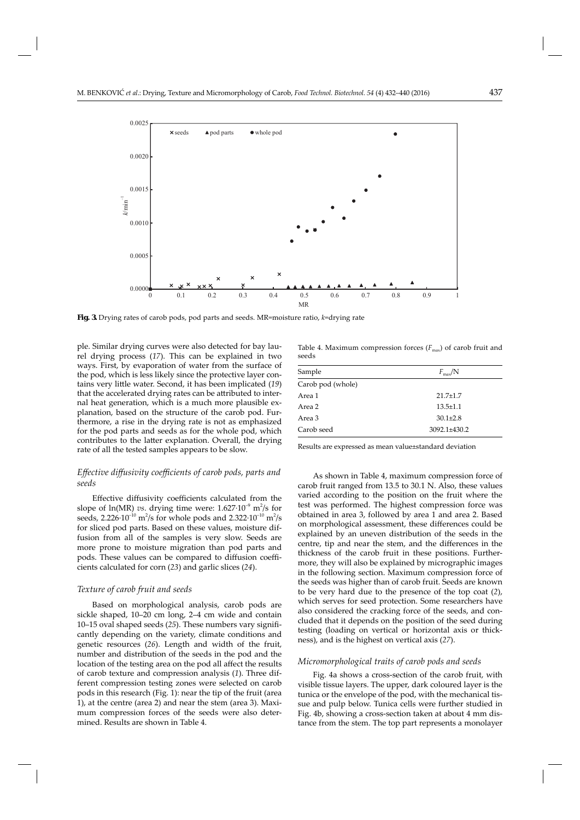

**Fig. 3.** Drying rates of carob pods, pod parts and seeds. MR=moisture ratio, *k*=drying rate

ple. Similar drying curves were also detected for bay laurel drying process (*17*). This can be explained in two ways. First, by evaporation of water from the surface of the pod, which is less likely since the protective layer contains very little water. Second, it has been implicated (19) that the accelerated drying rates can be attributed to internal heat generation, which is a much more plausible explanation, based on the structure of the carob pod. Furthermore, a rise in the drying rate is not as emphasized for the pod parts and seeds as for the whole pod, which contributes to the latter explanation. Overall, the drying rate of all the tested samples appears to be slow.

# *Eff ective diff usivity coeffi cients of carob pods, parts and seeds*

Effective diffusivity coefficients calculated from the slope of  $ln(MR)$  *vs.* drying time were:  $1.627 \cdot 10^{-9}$   $m^2/s$  for seeds, 2.226 $\cdot 10^{-10}$  m<sup>2</sup>/s for whole pods and 2.322 $\cdot 10^{-10}$  m<sup>2</sup>/s for sliced pod parts. Based on these values, moisture diffusion from all of the samples is very slow. Seeds are more prone to moisture migration than pod parts and pods. These values can be compared to diffusion coefficients calculated for corn (*23*) and garlic slices (*24*).

## *Texture of carob fruit and seeds*

Based on morphological analysis, carob pods are sickle shaped, 10–20 cm long, 2–4 cm wide and contain 10–15 oval shaped seeds (*25*). These numbers vary signifi cantly depending on the variety, climate conditions and genetic resources (*26*). Length and width of the fruit, number and distribution of the seeds in the pod and the location of the testing area on the pod all affect the results of carob texture and compression analysis (*1*). Three different compression testing zones were selected on carob pods in this research (Fig. 1): near the tip of the fruit (area 1), at the centre (area 2) and near the stem (area 3). Maximum compression forces of the seeds were also determined. Results are shown in Table 4.

Table 4. Maximum compression forces  $(F_{\text{max}})$  of carob fruit and seeds

| Sample            | $F_{\rm max}/N$    |  |  |
|-------------------|--------------------|--|--|
| Carob pod (whole) |                    |  |  |
| Area 1            | $21.7 \pm 1.7$     |  |  |
| Area 2            | $13.5 \pm 1.1$     |  |  |
| Area 3            | $30.1 \pm 2.8$     |  |  |
| Carob seed        | $3092.1 \pm 430.2$ |  |  |

Results are expressed as mean value±standard deviation

As shown in Table 4, maximum compression force of carob fruit ranged from 13.5 to 30.1 N. Also, these values varied according to the position on the fruit where the test was performed. The highest compression force was obtained in area 3, followed by area 1 and area 2. Based on morphological assessment, these differences could be explained by an uneven distribution of the seeds in the centre, tip and near the stem, and the differences in the thickness of the carob fruit in these positions. Furthermore, they will also be explained by micrographic images in the following section. Maximum compression force of the seeds was higher than of carob fruit. Seeds are known to be very hard due to the presence of the top coat (*2*), which serves for seed protection. Some researchers have also considered the cracking force of the seeds, and concluded that it depends on the position of the seed during testing (loading on vertical or horizontal axis or thickness), and is the highest on vertical axis (*27*).

### *Micromorphological traits of carob pods and seeds*

Fig. 4a shows a cross-section of the carob fruit, with visible tissue layers. The upper, dark coloured layer is the tunica or the envelope of the pod, with the mechanical tissue and pulp below. Tunica cells were further studied in Fig. 4b, showing a cross-section taken at about 4 mm distance from the stem. The top part represents a monolayer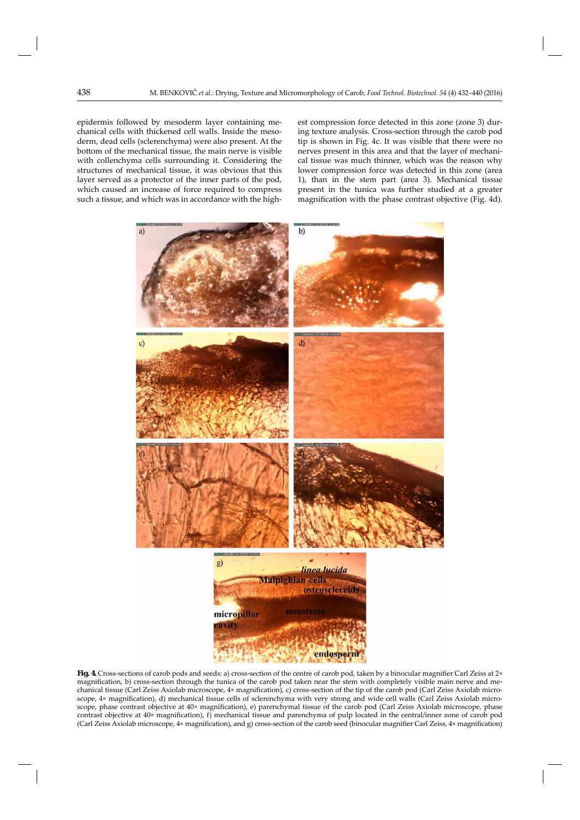epidermis followed by mesoderm layer containing mechanical cells with thickened cell walls. Inside the mesoderm, dead cells (sclerenchyma) were also present. At the bottom of the mechanical tissue, the main nerve is visible with collenchyma cells surrounding it. Considering the structures of mechanical tissue, it was obvious that this layer served as a protector of the inner parts of the pod, which caused an increase of force required to compress such a tissue, and which was in accordance with the highest compression force detected in this zone (zone 3) during texture analysis. Cross-section through the carob pod tip is shown in Fig. 4c. It was visible that there were no nerves present in this area and that the layer of mechanical tissue was much thinner, which was the reason why lower compression force was detected in this zone (area 1), than in the stem part (area 3). Mechanical tissue present in the tunica was further studied at a greater magnification with the phase contrast objective (Fig. 4d).



Fig. 4. Cross-sections of carob pods and seeds: a) cross-section of the centre of carob pod, taken by a binocular magnifier Carl Zeiss at 2× magnification, b) cross-section through the tunica of the carob pod taken near the stem with completely visible main nerve and mechanical tissue (Carl Zeiss Axiolab microscope, 4× magnification), c) cross-section of the tip of the carob pod (Carl Zeiss Axiolab microscope, 4× magnification), d) mechanical tissue cells of sclerenchyma with very strong and wide cell walls (Carl Zeiss Axiolab microscope, phase contrast objective at 40× magnification), e) parenchymal tissue of the carob pod (Carl Zeiss Axiolab microscope, phase contrast objective at 40× magnification), f) mechanical tissue and parenchyma of pulp located in the central/inner zone of carob pod (Carl Zeiss Axiolab microscope, 4× magnification), and g) cross-section of the carob seed (binocular magnifier Carl Zeiss, 4× magnification)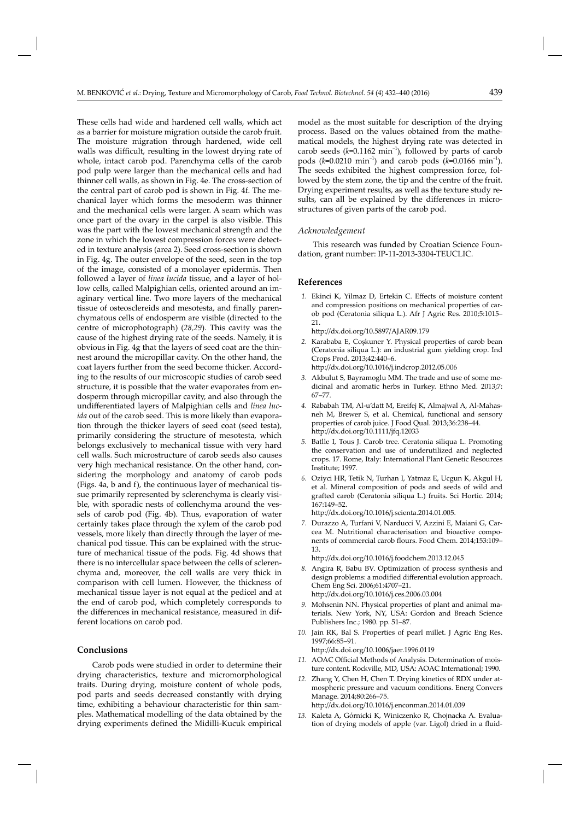model as the most suitable for description of the drying process. Based on the values obtained from the mathematical models, the highest drying rate was detected in carob seeds  $(k=0.1162 \text{ min}^{-1})$ , followed by parts of carob pods ( $k=0.0210 \text{ min}^{-1}$ ) and carob pods ( $k=0.0166 \text{ min}^{-1}$ ). The seeds exhibited the highest compression force, followed by the stem zone, the tip and the centre of the fruit. Drying experiment results, as well as the texture study results, can all be explained by the differences in microstructures of given parts of the carob pod.

## *Acknowledgement*

This research was funded by Croatian Science Foundation, grant number: IP-11-2013-3304-TEUCLIC.

## **References**

- 1. Ekinci K, Yilmaz D, Ertekin C. Effects of moisture content and compression positions on mechanical properties of carob pod (Ceratonia siliqua L.). Afr J Agric Res. 2010;5:1015– 21.
	- http://dx.doi.org/10.5897/AJAR09.179
- *2.* Karababa E, Coşkuner Y. Physical properties of carob bean (Ceratonia siliqua L.): an industrial gum yielding crop. Ind Crops Prod. 2013;42:440–6. http://dx.doi.org/10.1016/j.indcrop.2012.05.006
- *3.* Akbulut S, Bayramoglu MM. The trade and use of some medicinal and aromatic herbs in Turkey. Ethno Med. 2013;7: 67–77.
- *4.* Rababah TM, Al-u'datt M, Ereifej K, Almajwal A, Al-Mahasneh M, Brewer S, et al. Chemical, functional and sensory properties of carob juice. J Food Qual. 2013;36:238–44. http://dx.doi.org/10.1111/jfq.12033
- *5.* Batlle I, Tous J. Carob tree. Ceratonia siliqua L. Promoting the conservation and use of underutilized and neglected crops. 17. Rome, Italy: International Plant Genetic Resources Institute; 1997.
- *6.* Oziyci HR, Tetik N, Turhan I, Yatmaz E, Ucgun K, Akgul H, et al. Mineral composition of pods and seeds of wild and grafted carob (Ceratonia siliqua L.) fruits. Sci Hortic. 2014; 167:149–52.
	- http://dx.doi.org/10.1016/j.scienta.2014.01.005.
- *7.* Durazzo A, Turfani V, Narducci V, Azzini E, Maiani G, Carcea M. Nutritional characterisation and bioactive components of commercial carob flours. Food Chem. 2014;153:109– 13.

http://dx.doi.org/10.1016/j.foodchem.2013.12.045

 *8.* Angira R, Babu BV. Optimization of process synthesis and design problems: a modified differential evolution approach. Chem Eng Sci. 2006;61:4707–21.

http://dx.doi.org/10.1016/j.ces.2006.03.004

- *9.* Mohsenin NN. Physical properties of plant and animal materials. New York, NY, USA: Gordon and Breach Science Publishers Inc.; 1980. pp. 51–87.
- *10.* Jain RK, Bal S. Properties of pearl millet. J Agric Eng Res. 1997;66:85–91. http://dx.doi.org/10.1006/jaer.1996.0119
- 11. AOAC Official Methods of Analysis. Determination of moisture content. Rockville, MD, USA: AOAC International; 1990.
- *12.* Zhang Y, Chen H, Chen T. Drying kinetics of RDX under atmospheric pressure and vacuum conditions. Energ Convers Manage. 2014;80:266–75. http://dx.doi.org/10.1016/j.enconman.2014.01.039
- *13.* Kaleta A, Górnicki K, Winiczenko R, Chojnacka A. Evaluation of drying models of apple (var. Ligol) dried in a fluid-

walls was difficult, resulting in the lowest drying rate of whole, intact carob pod. Parenchyma cells of the carob pod pulp were larger than the mechanical cells and had thinner cell walls, as shown in Fig. 4e. The cross-section of the central part of carob pod is shown in Fig. 4f. The mechanical layer which forms the mesoderm was thinner and the mechanical cells were larger. A seam which was once part of the ovary in the carpel is also visible. This was the part with the lowest mechanical strength and the zone in which the lowest compression forces were detected in texture analysis (area 2). Seed cross-section is shown in Fig. 4g. The outer envelope of the seed, seen in the top of the image, consisted of a monolayer epidermis. Then followed a layer of *linea lucida* tissue, and a layer of hollow cells, called Malpighian cells, oriented around an imaginary vertical line. Two more layers of the mechanical tissue of osteosclereids and mesotesta, and finally parenchymatous cells of endosperm are visible (directed to the centre of microphotograph) (*28,29*). This cavity was the cause of the highest drying rate of the seeds. Namely, it is obvious in Fig. 4g that the layers of seed coat are the thinnest around the micropillar cavity. On the other hand, the coat layers further from the seed become thicker. According to the results of our microscopic studies of carob seed structure, it is possible that the water evaporates from endosperm through micropillar cavity, and also through the undifferentiated layers of Malpighian cells and *linea lucida* out of the carob seed. This is more likely than evaporation through the thicker layers of seed coat (seed testa), primarily considering the structure of mesotesta, which belongs exclusively to mechanical tissue with very hard cell walls. Such microstructure of carob seeds also causes very high mechanical resistance. On the other hand, considering the morphology and anatomy of carob pods (Figs. 4a, b and f), the continuous layer of mechanical tissue primarily represented by sclerenchyma is clearly visible, with sporadic nests of collenchyma around the vessels of carob pod (Fig. 4b). Thus, evaporation of water certainly takes place through the xylem of the carob pod vessels, more likely than directly through the layer of mechanical pod tissue. This can be explained with the structure of mechanical tissue of the pods. Fig. 4d shows that there is no intercellular space between the cells of sclerenchyma and, moreover, the cell walls are very thick in comparison with cell lumen. However, the thickness of mechanical tissue layer is not equal at the pedicel and at the end of carob pod, which completely corresponds to the differences in mechanical resistance, measured in different locations on carob pod.

These cells had wide and hardened cell walls, which act as a barrier for moisture migration outside the carob fruit. The moisture migration through hardened, wide cell

# **Conclusions**

Carob pods were studied in order to determine their drying characteristics, texture and micromorphological traits. During drying, moisture content of whole pods, pod parts and seeds decreased constantly with drying time, exhibiting a behaviour characteristic for thin samples. Mathematical modelling of the data obtained by the drying experiments defined the Midilli-Kucuk empirical